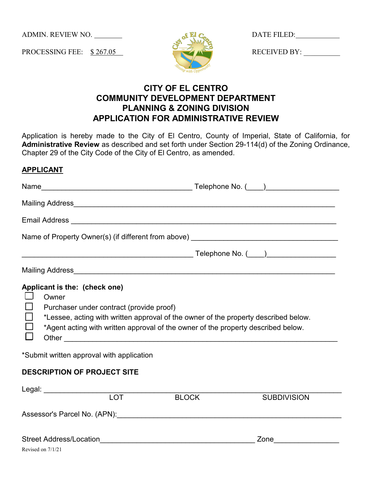ADMIN. REVIEW NO.

PROCESSING FEE: \$ 267.05



DATE FILED:

RECEIVED BY:

# **CITY OF EL CENTRO COMMUNITY DEVELOPMENT DEPARTMENT PLANNING & ZONING DIVISION APPLICATION FOR ADMINISTRATIVE REVIEW**

Application is hereby made to the City of El Centro, County of Imperial, State of California, for **Administrative Review** as described and set forth under Section 29-114(d) of the Zoning Ordinance, Chapter 29 of the City Code of the City of El Centro, as amended.

| <b>APPLICANT</b> |  |
|------------------|--|
|                  |  |

| Applicant is the: (check one)<br>Owner<br>Purchaser under contract (provide proof)<br>*Lessee, acting with written approval of the owner of the property described below.<br>*Agent acting with written approval of the owner of the property described below.<br>*Submit written approval with application |  |  |  |  |
|-------------------------------------------------------------------------------------------------------------------------------------------------------------------------------------------------------------------------------------------------------------------------------------------------------------|--|--|--|--|
| <b>DESCRIPTION OF PROJECT SITE</b>                                                                                                                                                                                                                                                                          |  |  |  |  |

| Legal:                         |            |              |                    |  |
|--------------------------------|------------|--------------|--------------------|--|
|                                | <b>LOT</b> | <b>BLOCK</b> | <b>SUBDIVISION</b> |  |
| Assessor's Parcel No. (APN):   |            |              |                    |  |
|                                |            |              |                    |  |
| <b>Street Address/Location</b> |            |              | Zone               |  |
| Revised on 7/1/21              |            |              |                    |  |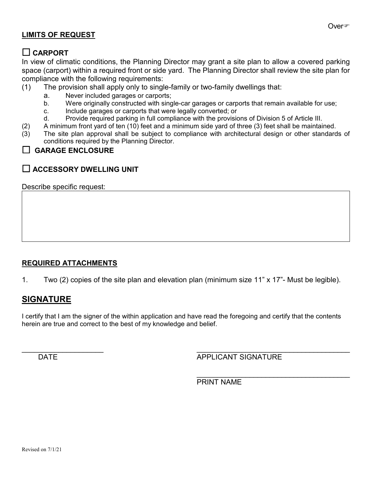#### **LIMITS OF REQUEST**

### **CARPORT**

In view of climatic conditions, the Planning Director may grant a site plan to allow a covered parking space (carport) within a required front or side yard. The Planning Director shall review the site plan for compliance with the following requirements:

- (1) The provision shall apply only to single-family or two-family dwellings that:
	- a. Never included garages or carports;
	- b. Were originally constructed with single-car garages or carports that remain available for use;
	- c. Include garages or carports that were legally converted; or
	- d. Provide required parking in full compliance with the provisions of Division 5 of Article III.
- (2) A minimum front yard of ten (10) feet and a minimum side yard of three (3) feet shall be maintained.
- (3) The site plan approval shall be subject to compliance with architectural design or other standards of conditions required by the Planning Director.

#### **GARAGE ENCLOSURE**

## **ACCESSORY DWELLING UNIT**

Describe specific request:

### **REQUIRED ATTACHMENTS**

1. Two (2) copies of the site plan and elevation plan (minimum size 11" x 17"- Must be legible).

## **SIGNATURE**

I certify that I am the signer of the within application and have read the foregoing and certify that the contents herein are true and correct to the best of my knowledge and belief.

 $\overline{\phantom{a}}$  , and the contract of the contract of the contract of the contract of the contract of the contract of the contract of the contract of the contract of the contract of the contract of the contract of the contrac DATE **APPLICANT SIGNATURE** 

\_\_\_\_\_\_\_\_\_\_\_\_\_\_\_\_\_\_\_\_\_\_\_\_\_\_\_\_\_\_\_\_\_\_\_\_\_\_

PRINT NAME